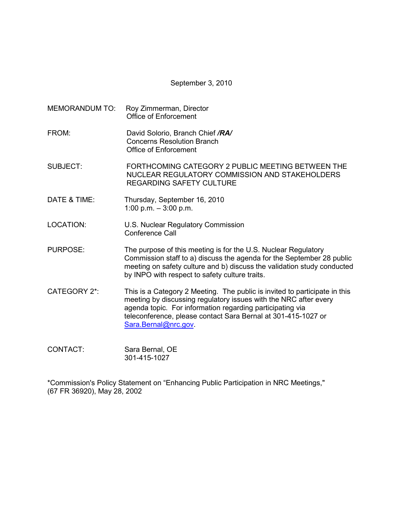September 3, 2010

- MEMORANDUM TO: Roy Zimmerman, Director Office of Enforcement FROM: David Solorio, Branch Chief */RA/* Concerns Resolution Branch Office of Enforcement SUBJECT: FORTHCOMING CATEGORY 2 PUBLIC MEETING BETWEEN THE NUCLEAR REGULATORY COMMISSION AND STAKEHOLDERS REGARDING SAFETY CULTURE DATE & TIME: Thursday, September 16, 2010 1:00 p.m. – 3:00 p.m. LOCATION: U.S. Nuclear Regulatory Commission Conference Call PURPOSE: The purpose of this meeting is for the U.S. Nuclear Regulatory Commission staff to a) discuss the agenda for the September 28 public meeting on safety culture and b) discuss the validation study conducted by INPO with respect to safety culture traits. CATEGORY 2\*: This is a Category 2 Meeting. The public is invited to participate in this meeting by discussing regulatory issues with the NRC after every agenda topic. For information regarding participating via teleconference, please contact Sara Bernal at 301-415-1027 or Sara.Bernal@nrc.gov.
- CONTACT: Sara Bernal, OE 301-415-1027

\*Commission's Policy Statement on "Enhancing Public Participation in NRC Meetings," (67 FR 36920), May 28, 2002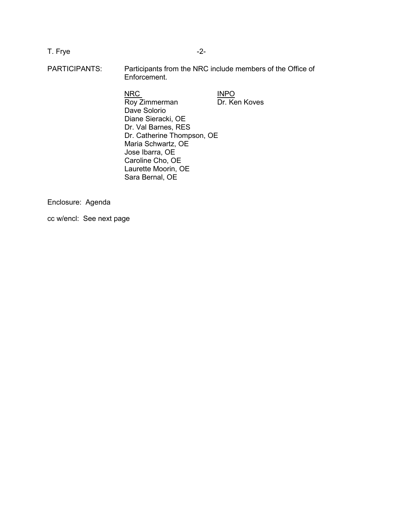T. Frye  $-2$ -

PARTICIPANTS: Participants from the NRC include members of the Office of Enforcement.

NRC INPO

Roy Zimmerman Dr. Ken Koves Dave Solorio Diane Sieracki, OE Dr. Val Barnes, RES Dr. Catherine Thompson, OE Maria Schwartz, OE Jose Ibarra, OE Caroline Cho, OE Laurette Moorin, OE Sara Bernal, OE

Enclosure: Agenda

cc w/encl: See next page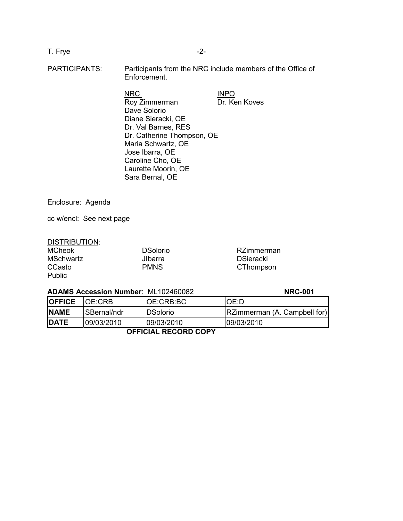# T. Frye  $-2$ -

PARTICIPANTS: Participants from the NRC include members of the Office of Enforcement.

NRC INPO Roy Zimmerman Dr. Ken Koves Dave Solorio Diane Sieracki, OE Dr. Val Barnes, RES Dr. Catherine Thompson, OE Maria Schwartz, OE Jose Ibarra, OE Caroline Cho, OE Laurette Moorin, OE Sara Bernal, OE

Enclosure: Agenda

cc w/encl: See next page

### DISTRIBUTION:

| <b>MCheok</b>    | <b>DSolorio</b> | RZimmerman       |
|------------------|-----------------|------------------|
| <b>MSchwartz</b> | <b>J</b> Ibarra | <b>DSieracki</b> |
| CCasto           | <b>PMNS</b>     | CThompson        |
| <b>Public</b>    |                 |                  |

#### **ADAMS Accession Number**: ML102460082 **NRC-001**

| <b>OFFICE</b> | IOE:CRB      | IOE:CRB:BC | OE:D                         |
|---------------|--------------|------------|------------------------------|
| <b>NAME</b>   | ISBernal/ndr | IDSolorio  | RZimmerman (A. Campbell for) |
| <b>DATE</b>   | 09/03/2010   | 09/03/2010 | 09/03/2010                   |

 **OFFICIAL RECORD COPY**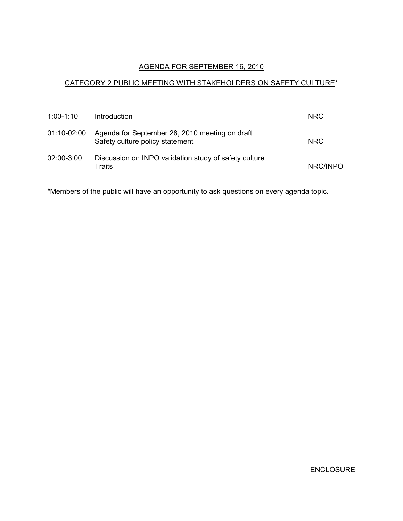## AGENDA FOR SEPTEMBER 16, 2010

## CATEGORY 2 PUBLIC MEETING WITH STAKEHOLDERS ON SAFETY CULTURE\*

| $1:00-1:10$ | Introduction                                                                      | NRC.       |
|-------------|-----------------------------------------------------------------------------------|------------|
| 01:10-02:00 | Agenda for September 28, 2010 meeting on draft<br>Safety culture policy statement | <b>NRC</b> |
| 02:00-3:00  | Discussion on INPO validation study of safety culture<br>Traits                   | NRC/INPO   |

\*Members of the public will have an opportunity to ask questions on every agenda topic.